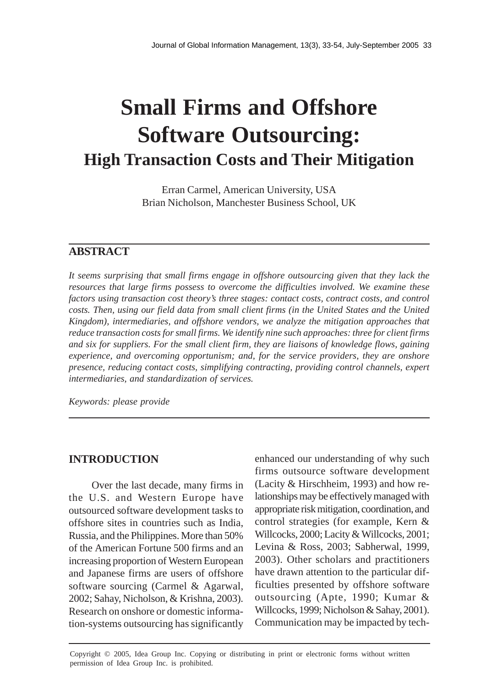# **Small Firms and Offshore Software Outsourcing: High Transaction Costs and Their Mitigation**

Erran Carmel, American University, USA Brian Nicholson, Manchester Business School, UK

# **ABSTRACT**

*It seems surprising that small firms engage in offshore outsourcing given that they lack the resources that large firms possess to overcome the difficulties involved. We examine these factors using transaction cost theory's three stages: contact costs, contract costs, and control costs. Then, using our field data from small client firms (in the United States and the United Kingdom), intermediaries, and offshore vendors, we analyze the mitigation approaches that reduce transaction costs for small firms. We identify nine such approaches: three for client firms and six for suppliers. For the small client firm, they are liaisons of knowledge flows, gaining experience, and overcoming opportunism; and, for the service providers, they are onshore presence, reducing contact costs, simplifying contracting, providing control channels, expert intermediaries, and standardization of services.*

*Keywords: please provide*

#### **INTRODUCTION**

Over the last decade, many firms in the U.S. and Western Europe have outsourced software development tasks to offshore sites in countries such as India, Russia, and the Philippines. More than 50% of the American Fortune 500 firms and an increasing proportion of Western European and Japanese firms are users of offshore software sourcing (Carmel & Agarwal, 2002; Sahay, Nicholson, & Krishna, 2003). Research on onshore or domestic information-systems outsourcing has significantly enhanced our understanding of why such firms outsource software development (Lacity & Hirschheim, 1993) and how relationships may be effectively managed with appropriate risk mitigation, coordination, and control strategies (for example, Kern & Willcocks, 2000; Lacity & Willcocks, 2001; Levina & Ross, 2003; Sabherwal, 1999, 2003). Other scholars and practitioners have drawn attention to the particular difficulties presented by offshore software outsourcing (Apte, 1990; Kumar & Willcocks, 1999; Nicholson & Sahay, 2001). Communication may be impacted by tech-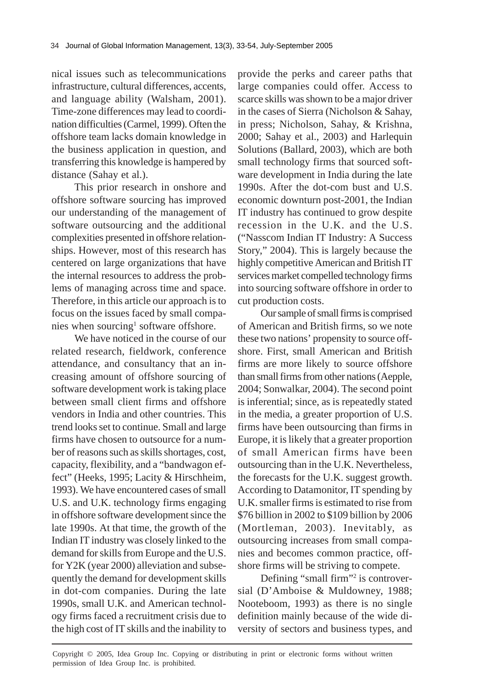nical issues such as telecommunications infrastructure, cultural differences, accents, and language ability (Walsham, 2001). Time-zone differences may lead to coordination difficulties (Carmel, 1999). Often the offshore team lacks domain knowledge in the business application in question, and transferring this knowledge is hampered by distance (Sahay et al.).

This prior research in onshore and offshore software sourcing has improved our understanding of the management of software outsourcing and the additional complexities presented in offshore relationships. However, most of this research has centered on large organizations that have the internal resources to address the problems of managing across time and space. Therefore, in this article our approach is to focus on the issues faced by small companies when sourcing<sup>1</sup> software offshore.

We have noticed in the course of our related research, fieldwork, conference attendance, and consultancy that an increasing amount of offshore sourcing of software development work is taking place between small client firms and offshore vendors in India and other countries. This trend looks set to continue. Small and large firms have chosen to outsource for a number of reasons such as skills shortages, cost, capacity, flexibility, and a "bandwagon effect" (Heeks, 1995; Lacity & Hirschheim, 1993). We have encountered cases of small U.S. and U.K. technology firms engaging in offshore software development since the late 1990s. At that time, the growth of the Indian IT industry was closely linked to the demand for skills from Europe and the U.S. for Y2K (year 2000) alleviation and subsequently the demand for development skills in dot-com companies. During the late 1990s, small U.K. and American technology firms faced a recruitment crisis due to the high cost of IT skills and the inability to

provide the perks and career paths that large companies could offer. Access to scarce skills was shown to be a major driver in the cases of Sierra (Nicholson & Sahay, in press; Nicholson, Sahay, & Krishna, 2000; Sahay et al., 2003) and Harlequin Solutions (Ballard, 2003), which are both small technology firms that sourced software development in India during the late 1990s. After the dot-com bust and U.S. economic downturn post-2001, the Indian IT industry has continued to grow despite recession in the U.K. and the U.S. ("Nasscom Indian IT Industry: A Success Story," 2004). This is largely because the highly competitive American and British IT services market compelled technology firms into sourcing software offshore in order to cut production costs.

Our sample of small firms is comprised of American and British firms, so we note these two nations' propensity to source offshore. First, small American and British firms are more likely to source offshore than small firms from other nations (Aepple, 2004; Sonwalkar, 2004). The second point is inferential; since, as is repeatedly stated in the media, a greater proportion of U.S. firms have been outsourcing than firms in Europe, it is likely that a greater proportion of small American firms have been outsourcing than in the U.K. Nevertheless, the forecasts for the U.K. suggest growth. According to Datamonitor, IT spending by U.K. smaller firms is estimated to rise from \$76 billion in 2002 to \$109 billion by 2006 (Mortleman, 2003). Inevitably, as outsourcing increases from small companies and becomes common practice, offshore firms will be striving to compete.

Defining "small firm"<sup>2</sup> is controversial (D'Amboise & Muldowney, 1988; Nooteboom, 1993) as there is no single definition mainly because of the wide diversity of sectors and business types, and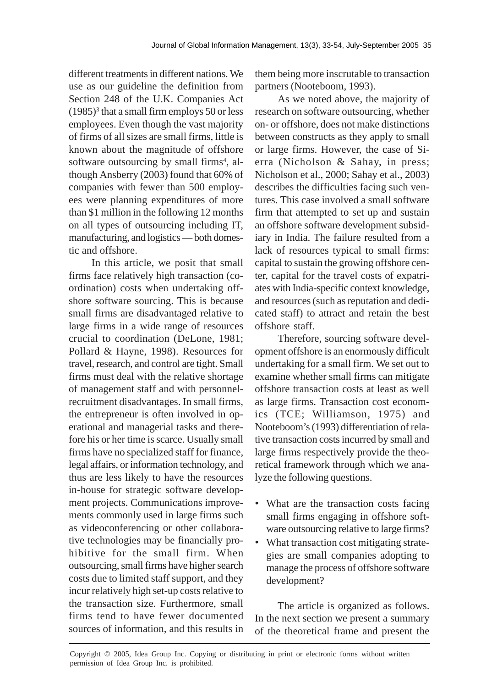different treatments in different nations. We use as our guideline the definition from Section 248 of the U.K. Companies Act  $(1985)<sup>3</sup>$  that a small firm employs 50 or less employees. Even though the vast majority of firms of all sizes are small firms, little is known about the magnitude of offshore software outsourcing by small firms<sup>4</sup>, although Ansberry (2003) found that 60% of companies with fewer than 500 employees were planning expenditures of more than \$1 million in the following 12 months on all types of outsourcing including IT, manufacturing, and logistics — both domestic and offshore.

In this article, we posit that small firms face relatively high transaction (coordination) costs when undertaking offshore software sourcing. This is because small firms are disadvantaged relative to large firms in a wide range of resources crucial to coordination (DeLone, 1981; Pollard & Hayne, 1998). Resources for travel, research, and control are tight. Small firms must deal with the relative shortage of management staff and with personnelrecruitment disadvantages. In small firms, the entrepreneur is often involved in operational and managerial tasks and therefore his or her time is scarce. Usually small firms have no specialized staff for finance, legal affairs, or information technology, and thus are less likely to have the resources in-house for strategic software development projects. Communications improvements commonly used in large firms such as videoconferencing or other collaborative technologies may be financially prohibitive for the small firm. When outsourcing, small firms have higher search costs due to limited staff support, and they incur relatively high set-up costs relative to the transaction size. Furthermore, small firms tend to have fewer documented sources of information, and this results in

them being more inscrutable to transaction partners (Nooteboom, 1993).

As we noted above, the majority of research on software outsourcing, whether on- or offshore, does not make distinctions between constructs as they apply to small or large firms. However, the case of Sierra (Nicholson & Sahay, in press; Nicholson et al., 2000; Sahay et al., 2003) describes the difficulties facing such ventures. This case involved a small software firm that attempted to set up and sustain an offshore software development subsidiary in India. The failure resulted from a lack of resources typical to small firms: capital to sustain the growing offshore center, capital for the travel costs of expatriates with India-specific context knowledge, and resources (such as reputation and dedicated staff) to attract and retain the best offshore staff.

Therefore, sourcing software development offshore is an enormously difficult undertaking for a small firm. We set out to examine whether small firms can mitigate offshore transaction costs at least as well as large firms. Transaction cost economics (TCE; Williamson, 1975) and Nooteboom's (1993) differentiation of relative transaction costs incurred by small and large firms respectively provide the theoretical framework through which we analyze the following questions.

- What are the transaction costs facing small firms engaging in offshore software outsourcing relative to large firms?
- What transaction cost mitigating strategies are small companies adopting to manage the process of offshore software development?

The article is organized as follows. In the next section we present a summary of the theoretical frame and present the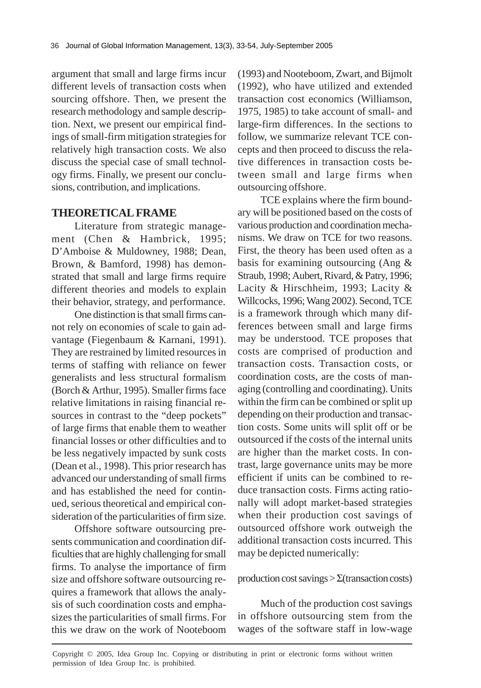argument that small and large firms incur different levels of transaction costs when sourcing offshore. Then, we present the research methodology and sample description. Next, we present our empirical findings of small-firm mitigation strategies for relatively high transaction costs. We also discuss the special case of small technology firms. Finally, we present our conclusions, contribution, and implications.

# **THEORETICAL FRAME**

Literature from strategic management (Chen & Hambrick, 1995; D'Amboise & Muldowney, 1988; Dean, Brown, & Bamford, 1998) has demonstrated that small and large firms require different theories and models to explain their behavior, strategy, and performance.

One distinction is that small firms cannot rely on economies of scale to gain advantage (Fiegenbaum & Karnani, 1991). They are restrained by limited resources in terms of staffing with reliance on fewer generalists and less structural formalism (Borch & Arthur, 1995). Smaller firms face relative limitations in raising financial resources in contrast to the "deep pockets" of large firms that enable them to weather financial losses or other difficulties and to be less negatively impacted by sunk costs (Dean et al., 1998). This prior research has advanced our understanding of small firms and has established the need for continued, serious theoretical and empirical consideration of the particularities of firm size.

Offshore software outsourcing presents communication and coordination difficulties that are highly challenging for small firms. To analyse the importance of firm size and offshore software outsourcing requires a framework that allows the analysis of such coordination costs and emphasizes the particularities of small firms. For this we draw on the work of Nooteboom

(1993) and Nooteboom, Zwart, and Bijmolt (1992), who have utilized and extended transaction cost economics (Williamson, 1975, 1985) to take account of small- and large-firm differences. In the sections to follow, we summarize relevant TCE concepts and then proceed to discuss the relative differences in transaction costs between small and large firms when outsourcing offshore.

TCE explains where the firm boundary will be positioned based on the costs of various production and coordination mechanisms. We draw on TCE for two reasons. First, the theory has been used often as a basis for examining outsourcing (Ang & Straub, 1998; Aubert, Rivard, & Patry, 1996; Lacity & Hirschheim, 1993; Lacity & Willcocks, 1996; Wang 2002). Second, TCE is a framework through which many differences between small and large firms may be understood. TCE proposes that costs are comprised of production and transaction costs. Transaction costs, or coordination costs, are the costs of managing (controlling and coordinating). Units within the firm can be combined or split up depending on their production and transaction costs. Some units will split off or be outsourced if the costs of the internal units are higher than the market costs. In contrast, large governance units may be more efficient if units can be combined to reduce transaction costs. Firms acting rationally will adopt market-based strategies when their production cost savings of outsourced offshore work outweigh the additional transaction costs incurred. This may be depicted numerically:

#### production cost savings  $>\Sigma$ (transaction costs)

Much of the production cost savings in offshore outsourcing stem from the wages of the software staff in low-wage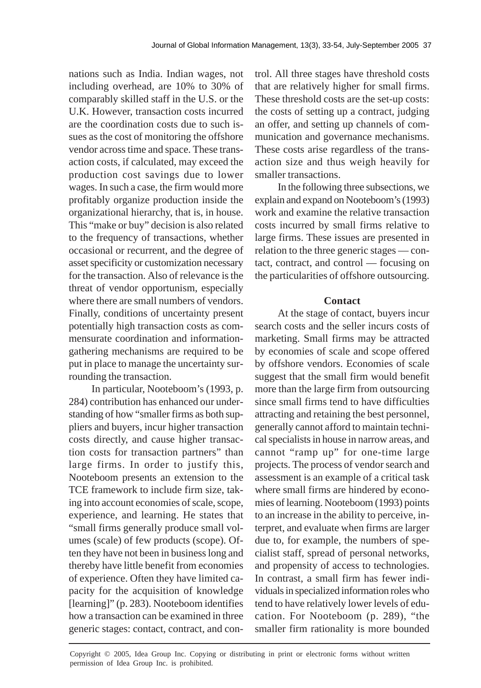nations such as India. Indian wages, not including overhead, are 10% to 30% of comparably skilled staff in the U.S. or the U.K. However, transaction costs incurred are the coordination costs due to such issues as the cost of monitoring the offshore vendor across time and space. These transaction costs, if calculated, may exceed the production cost savings due to lower wages. In such a case, the firm would more profitably organize production inside the organizational hierarchy, that is, in house. This "make or buy" decision is also related to the frequency of transactions, whether occasional or recurrent, and the degree of asset specificity or customization necessary for the transaction. Also of relevance is the threat of vendor opportunism, especially where there are small numbers of vendors. Finally, conditions of uncertainty present potentially high transaction costs as commensurate coordination and informationgathering mechanisms are required to be put in place to manage the uncertainty surrounding the transaction.

In particular, Nooteboom's (1993, p. 284) contribution has enhanced our understanding of how "smaller firms as both suppliers and buyers, incur higher transaction costs directly, and cause higher transaction costs for transaction partners" than large firms. In order to justify this, Nooteboom presents an extension to the TCE framework to include firm size, taking into account economies of scale, scope, experience, and learning. He states that "small firms generally produce small volumes (scale) of few products (scope). Often they have not been in business long and thereby have little benefit from economies of experience. Often they have limited capacity for the acquisition of knowledge [learning]" (p. 283). Nooteboom identifies how a transaction can be examined in three generic stages: contact, contract, and control. All three stages have threshold costs that are relatively higher for small firms. These threshold costs are the set-up costs: the costs of setting up a contract, judging an offer, and setting up channels of communication and governance mechanisms. These costs arise regardless of the transaction size and thus weigh heavily for smaller transactions.

In the following three subsections, we explain and expand on Nooteboom's (1993) work and examine the relative transaction costs incurred by small firms relative to large firms. These issues are presented in relation to the three generic stages — contact, contract, and control — focusing on the particularities of offshore outsourcing.

# **Contact**

At the stage of contact, buyers incur search costs and the seller incurs costs of marketing. Small firms may be attracted by economies of scale and scope offered by offshore vendors. Economies of scale suggest that the small firm would benefit more than the large firm from outsourcing since small firms tend to have difficulties attracting and retaining the best personnel, generally cannot afford to maintain technical specialists in house in narrow areas, and cannot "ramp up" for one-time large projects. The process of vendor search and assessment is an example of a critical task where small firms are hindered by economies of learning. Nooteboom (1993) points to an increase in the ability to perceive, interpret, and evaluate when firms are larger due to, for example, the numbers of specialist staff, spread of personal networks, and propensity of access to technologies. In contrast, a small firm has fewer individuals in specialized information roles who tend to have relatively lower levels of education. For Nooteboom (p. 289), "the smaller firm rationality is more bounded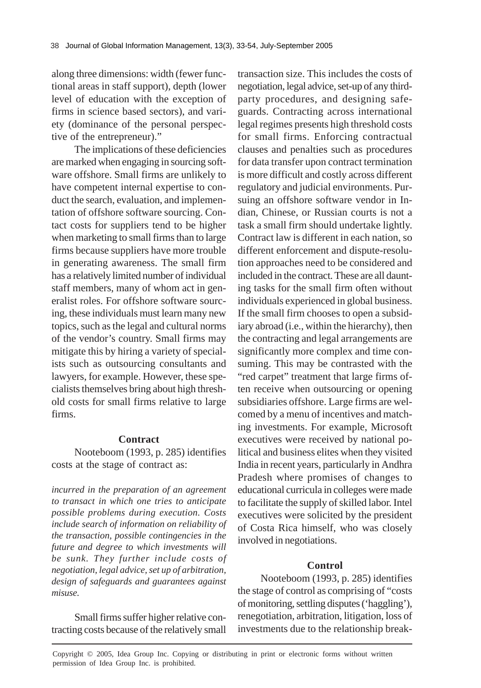along three dimensions: width (fewer functional areas in staff support), depth (lower level of education with the exception of firms in science based sectors), and variety (dominance of the personal perspective of the entrepreneur)."

The implications of these deficiencies are marked when engaging in sourcing software offshore. Small firms are unlikely to have competent internal expertise to conduct the search, evaluation, and implementation of offshore software sourcing. Contact costs for suppliers tend to be higher when marketing to small firms than to large firms because suppliers have more trouble in generating awareness. The small firm has a relatively limited number of individual staff members, many of whom act in generalist roles. For offshore software sourcing, these individuals must learn many new topics, such as the legal and cultural norms of the vendor's country. Small firms may mitigate this by hiring a variety of specialists such as outsourcing consultants and lawyers, for example. However, these specialists themselves bring about high threshold costs for small firms relative to large firms.

#### **Contract**

Nooteboom (1993, p. 285) identifies costs at the stage of contract as:

*incurred in the preparation of an agreement to transact in which one tries to anticipate possible problems during execution. Costs include search of information on reliability of the transaction, possible contingencies in the future and degree to which investments will be sunk. They further include costs of negotiation, legal advice, set up of arbitration, design of safeguards and guarantees against misuse.*

Small firms suffer higher relative contracting costs because of the relatively small transaction size. This includes the costs of negotiation, legal advice, set-up of any thirdparty procedures, and designing safeguards. Contracting across international legal regimes presents high threshold costs for small firms. Enforcing contractual clauses and penalties such as procedures for data transfer upon contract termination is more difficult and costly across different regulatory and judicial environments. Pursuing an offshore software vendor in Indian, Chinese, or Russian courts is not a task a small firm should undertake lightly. Contract law is different in each nation, so different enforcement and dispute-resolution approaches need to be considered and included in the contract. These are all daunting tasks for the small firm often without individuals experienced in global business. If the small firm chooses to open a subsidiary abroad (i.e., within the hierarchy), then the contracting and legal arrangements are significantly more complex and time consuming. This may be contrasted with the "red carpet" treatment that large firms often receive when outsourcing or opening subsidiaries offshore. Large firms are welcomed by a menu of incentives and matching investments. For example, Microsoft executives were received by national political and business elites when they visited India in recent years, particularly in Andhra Pradesh where promises of changes to educational curricula in colleges were made to facilitate the supply of skilled labor. Intel executives were solicited by the president of Costa Rica himself, who was closely involved in negotiations.

#### **Control**

Nooteboom (1993, p. 285) identifies the stage of control as comprising of "costs of monitoring, settling disputes ('haggling'), renegotiation, arbitration, litigation, loss of investments due to the relationship break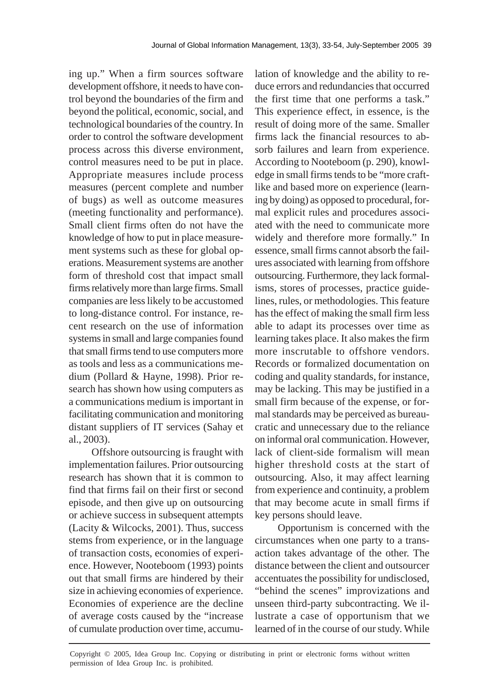ing up." When a firm sources software development offshore, it needs to have control beyond the boundaries of the firm and beyond the political, economic, social, and technological boundaries of the country. In order to control the software development process across this diverse environment, control measures need to be put in place. Appropriate measures include process measures (percent complete and number of bugs) as well as outcome measures (meeting functionality and performance). Small client firms often do not have the knowledge of how to put in place measurement systems such as these for global operations. Measurement systems are another form of threshold cost that impact small firms relatively more than large firms. Small companies are less likely to be accustomed to long-distance control. For instance, recent research on the use of information systems in small and large companies found that small firms tend to use computers more as tools and less as a communications medium (Pollard & Hayne, 1998). Prior research has shown how using computers as a communications medium is important in facilitating communication and monitoring distant suppliers of IT services (Sahay et al., 2003).

Offshore outsourcing is fraught with implementation failures. Prior outsourcing research has shown that it is common to find that firms fail on their first or second episode, and then give up on outsourcing or achieve success in subsequent attempts (Lacity & Wilcocks, 2001). Thus, success stems from experience, or in the language of transaction costs, economies of experience. However, Nooteboom (1993) points out that small firms are hindered by their size in achieving economies of experience. Economies of experience are the decline of average costs caused by the "increase of cumulate production over time, accumulation of knowledge and the ability to reduce errors and redundancies that occurred the first time that one performs a task." This experience effect, in essence, is the result of doing more of the same. Smaller firms lack the financial resources to absorb failures and learn from experience. According to Nooteboom (p. 290), knowledge in small firms tends to be "more craftlike and based more on experience (learning by doing) as opposed to procedural, formal explicit rules and procedures associated with the need to communicate more widely and therefore more formally." In essence, small firms cannot absorb the failures associated with learning from offshore outsourcing. Furthermore, they lack formalisms, stores of processes, practice guidelines, rules, or methodologies. This feature has the effect of making the small firm less able to adapt its processes over time as learning takes place. It also makes the firm more inscrutable to offshore vendors. Records or formalized documentation on coding and quality standards, for instance, may be lacking. This may be justified in a small firm because of the expense, or formal standards may be perceived as bureaucratic and unnecessary due to the reliance on informal oral communication. However, lack of client-side formalism will mean higher threshold costs at the start of outsourcing. Also, it may affect learning from experience and continuity, a problem that may become acute in small firms if key persons should leave.

Opportunism is concerned with the circumstances when one party to a transaction takes advantage of the other. The distance between the client and outsourcer accentuates the possibility for undisclosed, "behind the scenes" improvizations and unseen third-party subcontracting. We illustrate a case of opportunism that we learned of in the course of our study. While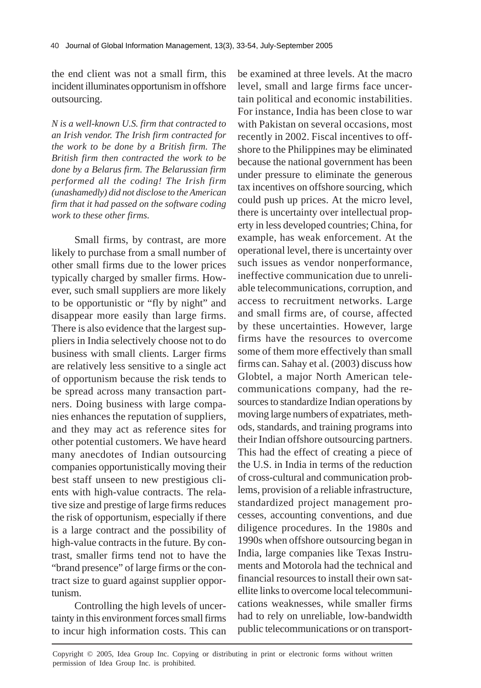the end client was not a small firm, this incident illuminates opportunism in offshore outsourcing.

*N is a well-known U.S. firm that contracted to an Irish vendor. The Irish firm contracted for the work to be done by a British firm. The British firm then contracted the work to be done by a Belarus firm. The Belarussian firm performed all the coding! The Irish firm (unashamedly) did not disclose to the American firm that it had passed on the software coding work to these other firms.*

Small firms, by contrast, are more likely to purchase from a small number of other small firms due to the lower prices typically charged by smaller firms. However, such small suppliers are more likely to be opportunistic or "fly by night" and disappear more easily than large firms. There is also evidence that the largest suppliers in India selectively choose not to do business with small clients. Larger firms are relatively less sensitive to a single act of opportunism because the risk tends to be spread across many transaction partners. Doing business with large companies enhances the reputation of suppliers, and they may act as reference sites for other potential customers. We have heard many anecdotes of Indian outsourcing companies opportunistically moving their best staff unseen to new prestigious clients with high-value contracts. The relative size and prestige of large firms reduces the risk of opportunism, especially if there is a large contract and the possibility of high-value contracts in the future. By contrast, smaller firms tend not to have the "brand presence" of large firms or the contract size to guard against supplier opportunism.

Controlling the high levels of uncertainty in this environment forces small firms to incur high information costs. This can be examined at three levels. At the macro level, small and large firms face uncertain political and economic instabilities. For instance, India has been close to war with Pakistan on several occasions, most recently in 2002. Fiscal incentives to offshore to the Philippines may be eliminated because the national government has been under pressure to eliminate the generous tax incentives on offshore sourcing, which could push up prices. At the micro level, there is uncertainty over intellectual property in less developed countries; China, for example, has weak enforcement. At the operational level, there is uncertainty over such issues as vendor nonperformance, ineffective communication due to unreliable telecommunications, corruption, and access to recruitment networks. Large and small firms are, of course, affected by these uncertainties. However, large firms have the resources to overcome some of them more effectively than small firms can. Sahay et al. (2003) discuss how Globtel, a major North American telecommunications company, had the resources to standardize Indian operations by moving large numbers of expatriates, methods, standards, and training programs into their Indian offshore outsourcing partners. This had the effect of creating a piece of the U.S. in India in terms of the reduction of cross-cultural and communication problems, provision of a reliable infrastructure, standardized project management processes, accounting conventions, and due diligence procedures. In the 1980s and 1990s when offshore outsourcing began in India, large companies like Texas Instruments and Motorola had the technical and financial resources to install their own satellite links to overcome local telecommunications weaknesses, while smaller firms had to rely on unreliable, low-bandwidth public telecommunications or on transport-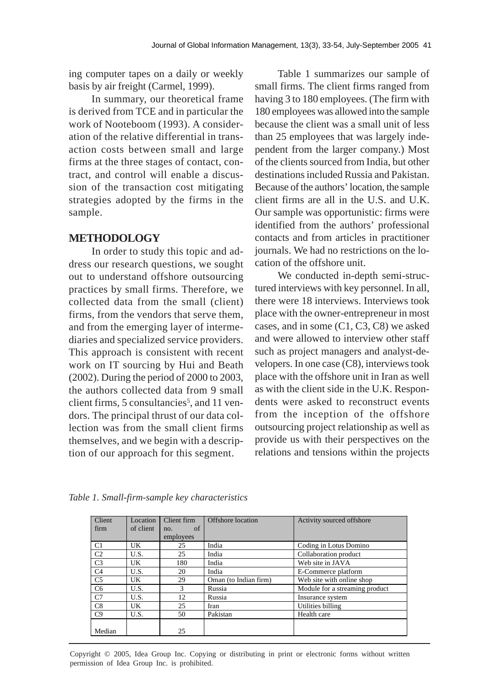ing computer tapes on a daily or weekly basis by air freight (Carmel, 1999).

In summary, our theoretical frame is derived from TCE and in particular the work of Nooteboom (1993). A consideration of the relative differential in transaction costs between small and large firms at the three stages of contact, contract, and control will enable a discussion of the transaction cost mitigating strategies adopted by the firms in the sample.

### **METHODOLOGY**

In order to study this topic and address our research questions, we sought out to understand offshore outsourcing practices by small firms. Therefore, we collected data from the small (client) firms, from the vendors that serve them, and from the emerging layer of intermediaries and specialized service providers. This approach is consistent with recent work on IT sourcing by Hui and Beath (2002). During the period of 2000 to 2003, the authors collected data from 9 small client firms,  $5$  consultancies<sup>5</sup>, and 11 vendors. The principal thrust of our data collection was from the small client firms themselves, and we begin with a description of our approach for this segment.

Table 1 summarizes our sample of small firms. The client firms ranged from having 3 to 180 employees. (The firm with 180 employees was allowed into the sample because the client was a small unit of less than 25 employees that was largely independent from the larger company.) Most of the clients sourced from India, but other destinations included Russia and Pakistan. Because of the authors' location, the sample client firms are all in the U.S. and U.K. Our sample was opportunistic: firms were identified from the authors' professional contacts and from articles in practitioner journals. We had no restrictions on the location of the offshore unit.

We conducted in-depth semi-structured interviews with key personnel. In all, there were 18 interviews. Interviews took place with the owner-entrepreneur in most cases, and in some (C1, C3, C8) we asked and were allowed to interview other staff such as project managers and analyst-developers. In one case (C8), interviews took place with the offshore unit in Iran as well as with the client side in the U.K. Respondents were asked to reconstruct events from the inception of the offshore outsourcing project relationship as well as provide us with their perspectives on the relations and tensions within the projects

| Client         | Location  | Client firm       | Offshore location     | Activity sourced offshore      |
|----------------|-----------|-------------------|-----------------------|--------------------------------|
| firm           | of client | $\sigma$ f<br>no. |                       |                                |
|                |           | employees         |                       |                                |
| C <sub>1</sub> | UK        | 25                | India                 | Coding in Lotus Domino         |
| C <sub>2</sub> | U.S.      | 25                | India                 | Collaboration product          |
| C <sub>3</sub> | UK        | 180               | India                 | Web site in JAVA               |
| C <sub>4</sub> | U.S.      | 20                | India                 | E-Commerce platform            |
| C <sub>5</sub> | UK        | 29                | Oman (to Indian firm) | Web site with online shop      |
| C6             | U.S.      | 3                 | Russia                | Module for a streaming product |
| C7             | U.S.      | 12                | Russia                | Insurance system               |
| C8             | UK        | 25                | Iran                  | Utilities billing              |
| C9             | U.S.      | 50                | Pakistan              | Health care                    |
|                |           |                   |                       |                                |
| Median         |           | 25                |                       |                                |

*Table 1. Small-firm-sample key characteristics*

Copyright © 2005, Idea Group Inc. Copying or distributing in print or electronic forms without written permission of Idea Group Inc. is prohibited.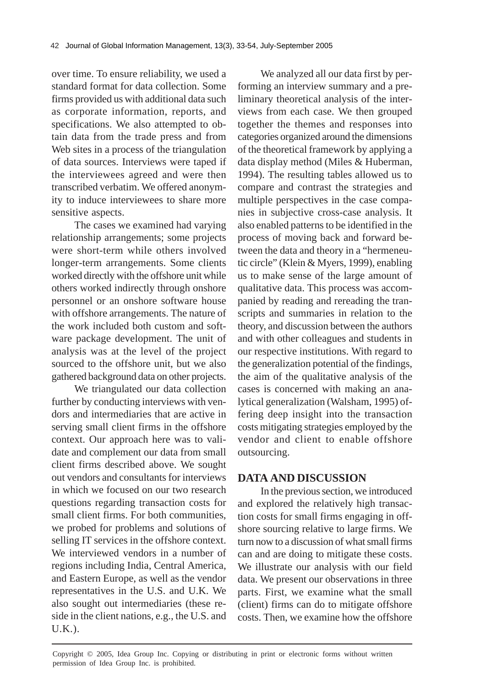over time. To ensure reliability, we used a standard format for data collection. Some firms provided us with additional data such as corporate information, reports, and specifications. We also attempted to obtain data from the trade press and from Web sites in a process of the triangulation of data sources. Interviews were taped if the interviewees agreed and were then transcribed verbatim. We offered anonymity to induce interviewees to share more sensitive aspects.

The cases we examined had varying relationship arrangements; some projects were short-term while others involved longer-term arrangements. Some clients worked directly with the offshore unit while others worked indirectly through onshore personnel or an onshore software house with offshore arrangements. The nature of the work included both custom and software package development. The unit of analysis was at the level of the project sourced to the offshore unit, but we also gathered background data on other projects.

We triangulated our data collection further by conducting interviews with vendors and intermediaries that are active in serving small client firms in the offshore context. Our approach here was to validate and complement our data from small client firms described above. We sought out vendors and consultants for interviews in which we focused on our two research questions regarding transaction costs for small client firms. For both communities, we probed for problems and solutions of selling IT services in the offshore context. We interviewed vendors in a number of regions including India, Central America, and Eastern Europe, as well as the vendor representatives in the U.S. and U.K. We also sought out intermediaries (these reside in the client nations, e.g., the U.S. and U.K.).

We analyzed all our data first by performing an interview summary and a preliminary theoretical analysis of the interviews from each case. We then grouped together the themes and responses into categories organized around the dimensions of the theoretical framework by applying a data display method (Miles & Huberman, 1994). The resulting tables allowed us to compare and contrast the strategies and multiple perspectives in the case companies in subjective cross-case analysis. It also enabled patterns to be identified in the process of moving back and forward between the data and theory in a "hermeneutic circle" (Klein & Myers, 1999), enabling us to make sense of the large amount of qualitative data. This process was accompanied by reading and rereading the transcripts and summaries in relation to the theory, and discussion between the authors and with other colleagues and students in our respective institutions. With regard to the generalization potential of the findings, the aim of the qualitative analysis of the cases is concerned with making an analytical generalization (Walsham, 1995) offering deep insight into the transaction costs mitigating strategies employed by the vendor and client to enable offshore outsourcing.

#### **DATA AND DISCUSSION**

In the previous section, we introduced and explored the relatively high transaction costs for small firms engaging in offshore sourcing relative to large firms. We turn now to a discussion of what small firms can and are doing to mitigate these costs. We illustrate our analysis with our field data. We present our observations in three parts. First, we examine what the small (client) firms can do to mitigate offshore costs. Then, we examine how the offshore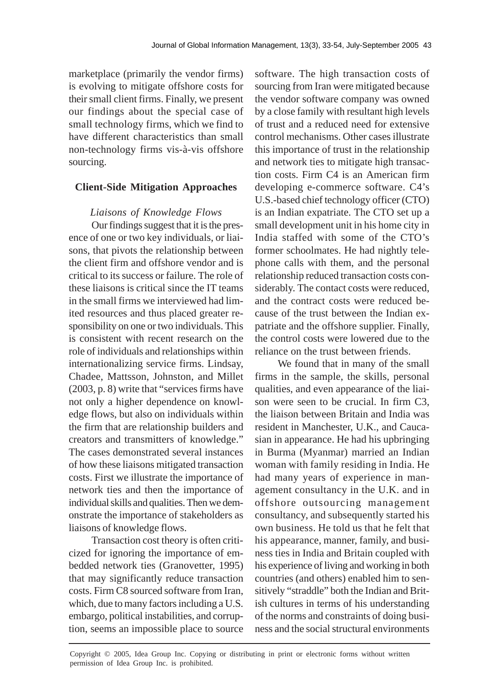marketplace (primarily the vendor firms) is evolving to mitigate offshore costs for their small client firms. Finally, we present our findings about the special case of small technology firms, which we find to have different characteristics than small non-technology firms vis-à-vis offshore sourcing.

#### **Client-Side Mitigation Approaches**

# *Liaisons of Knowledge Flows*

Our findings suggest that it is the presence of one or two key individuals, or liaisons, that pivots the relationship between the client firm and offshore vendor and is critical to its success or failure. The role of these liaisons is critical since the IT teams in the small firms we interviewed had limited resources and thus placed greater responsibility on one or two individuals. This is consistent with recent research on the role of individuals and relationships within internationalizing service firms. Lindsay, Chadee, Mattsson, Johnston, and Millet (2003, p. 8) write that "services firms have not only a higher dependence on knowledge flows, but also on individuals within the firm that are relationship builders and creators and transmitters of knowledge." The cases demonstrated several instances of how these liaisons mitigated transaction costs. First we illustrate the importance of network ties and then the importance of individual skills and qualities. Then we demonstrate the importance of stakeholders as liaisons of knowledge flows.

Transaction cost theory is often criticized for ignoring the importance of embedded network ties (Granovetter, 1995) that may significantly reduce transaction costs. Firm C8 sourced software from Iran, which, due to many factors including a U.S. embargo, political instabilities, and corruption, seems an impossible place to source software. The high transaction costs of sourcing from Iran were mitigated because the vendor software company was owned by a close family with resultant high levels of trust and a reduced need for extensive control mechanisms. Other cases illustrate this importance of trust in the relationship and network ties to mitigate high transaction costs. Firm C4 is an American firm developing e-commerce software. C4's U.S.-based chief technology officer (CTO) is an Indian expatriate. The CTO set up a small development unit in his home city in India staffed with some of the CTO's former schoolmates. He had nightly telephone calls with them, and the personal relationship reduced transaction costs considerably. The contact costs were reduced, and the contract costs were reduced because of the trust between the Indian expatriate and the offshore supplier. Finally, the control costs were lowered due to the reliance on the trust between friends.

We found that in many of the small firms in the sample, the skills, personal qualities, and even appearance of the liaison were seen to be crucial. In firm C3, the liaison between Britain and India was resident in Manchester, U.K., and Caucasian in appearance. He had his upbringing in Burma (Myanmar) married an Indian woman with family residing in India. He had many years of experience in management consultancy in the U.K. and in offshore outsourcing management consultancy, and subsequently started his own business. He told us that he felt that his appearance, manner, family, and business ties in India and Britain coupled with his experience of living and working in both countries (and others) enabled him to sensitively "straddle" both the Indian and British cultures in terms of his understanding of the norms and constraints of doing business and the social structural environments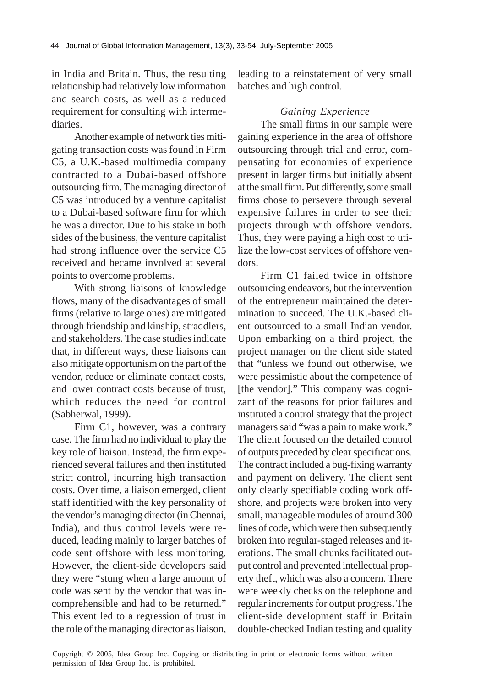in India and Britain. Thus, the resulting relationship had relatively low information and search costs, as well as a reduced requirement for consulting with intermediaries.

Another example of network ties mitigating transaction costs was found in Firm C5, a U.K.-based multimedia company contracted to a Dubai-based offshore outsourcing firm. The managing director of C5 was introduced by a venture capitalist to a Dubai-based software firm for which he was a director. Due to his stake in both sides of the business, the venture capitalist had strong influence over the service C5 received and became involved at several points to overcome problems.

With strong liaisons of knowledge flows, many of the disadvantages of small firms (relative to large ones) are mitigated through friendship and kinship, straddlers, and stakeholders. The case studies indicate that, in different ways, these liaisons can also mitigate opportunism on the part of the vendor, reduce or eliminate contact costs, and lower contract costs because of trust, which reduces the need for control (Sabherwal, 1999).

Firm C1, however, was a contrary case. The firm had no individual to play the key role of liaison. Instead, the firm experienced several failures and then instituted strict control, incurring high transaction costs. Over time, a liaison emerged, client staff identified with the key personality of the vendor's managing director (in Chennai, India), and thus control levels were reduced, leading mainly to larger batches of code sent offshore with less monitoring. However, the client-side developers said they were "stung when a large amount of code was sent by the vendor that was incomprehensible and had to be returned." This event led to a regression of trust in the role of the managing director as liaison,

leading to a reinstatement of very small batches and high control.

# *Gaining Experience*

The small firms in our sample were gaining experience in the area of offshore outsourcing through trial and error, compensating for economies of experience present in larger firms but initially absent at the small firm. Put differently, some small firms chose to persevere through several expensive failures in order to see their projects through with offshore vendors. Thus, they were paying a high cost to utilize the low-cost services of offshore vendors.

Firm C1 failed twice in offshore outsourcing endeavors, but the intervention of the entrepreneur maintained the determination to succeed. The U.K.-based client outsourced to a small Indian vendor. Upon embarking on a third project, the project manager on the client side stated that "unless we found out otherwise, we were pessimistic about the competence of [the vendor]." This company was cognizant of the reasons for prior failures and instituted a control strategy that the project managers said "was a pain to make work." The client focused on the detailed control of outputs preceded by clear specifications. The contract included a bug-fixing warranty and payment on delivery. The client sent only clearly specifiable coding work offshore, and projects were broken into very small, manageable modules of around 300 lines of code, which were then subsequently broken into regular-staged releases and iterations. The small chunks facilitated output control and prevented intellectual property theft, which was also a concern. There were weekly checks on the telephone and regular increments for output progress. The client-side development staff in Britain double-checked Indian testing and quality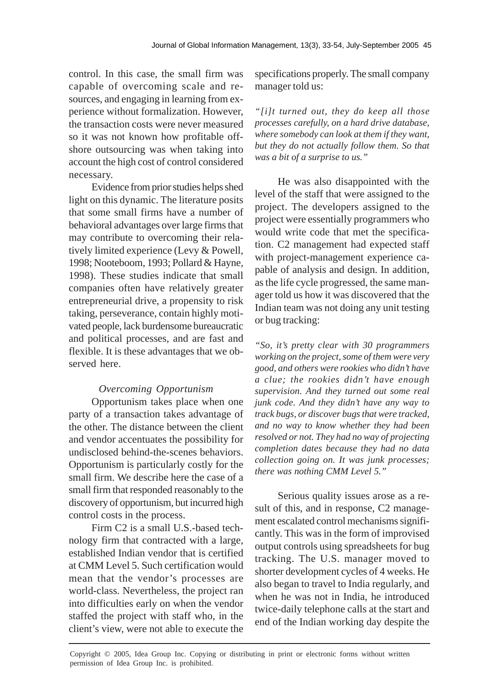control. In this case, the small firm was capable of overcoming scale and resources, and engaging in learning from experience without formalization. However, the transaction costs were never measured so it was not known how profitable offshore outsourcing was when taking into account the high cost of control considered necessary.

Evidence from prior studies helps shed light on this dynamic. The literature posits that some small firms have a number of behavioral advantages over large firms that may contribute to overcoming their relatively limited experience (Levy & Powell, 1998; Nooteboom, 1993; Pollard & Hayne, 1998). These studies indicate that small companies often have relatively greater entrepreneurial drive, a propensity to risk taking, perseverance, contain highly motivated people, lack burdensome bureaucratic and political processes, and are fast and flexible. It is these advantages that we observed here.

#### *Overcoming Opportunism*

Opportunism takes place when one party of a transaction takes advantage of the other. The distance between the client and vendor accentuates the possibility for undisclosed behind-the-scenes behaviors. Opportunism is particularly costly for the small firm. We describe here the case of a small firm that responded reasonably to the discovery of opportunism, but incurred high control costs in the process.

Firm C2 is a small U.S.-based technology firm that contracted with a large, established Indian vendor that is certified at CMM Level 5. Such certification would mean that the vendor's processes are world-class. Nevertheless, the project ran into difficulties early on when the vendor staffed the project with staff who, in the client's view, were not able to execute the

specifications properly. The small company manager told us:

*"[i]t turned out, they do keep all those processes carefully, on a hard drive database, where somebody can look at them if they want, but they do not actually follow them. So that was a bit of a surprise to us."*

He was also disappointed with the level of the staff that were assigned to the project. The developers assigned to the project were essentially programmers who would write code that met the specification. C2 management had expected staff with project-management experience capable of analysis and design. In addition, as the life cycle progressed, the same manager told us how it was discovered that the Indian team was not doing any unit testing or bug tracking:

*"So, it's pretty clear with 30 programmers working on the project, some of them were very good, and others were rookies who didn't have a clue; the rookies didn't have enough supervision. And they turned out some real junk code. And they didn't have any way to track bugs, or discover bugs that were tracked, and no way to know whether they had been resolved or not. They had no way of projecting completion dates because they had no data collection going on. It was junk processes; there was nothing CMM Level 5."*

Serious quality issues arose as a result of this, and in response, C2 management escalated control mechanisms significantly. This was in the form of improvised output controls using spreadsheets for bug tracking. The U.S. manager moved to shorter development cycles of 4 weeks. He also began to travel to India regularly, and when he was not in India, he introduced twice-daily telephone calls at the start and end of the Indian working day despite the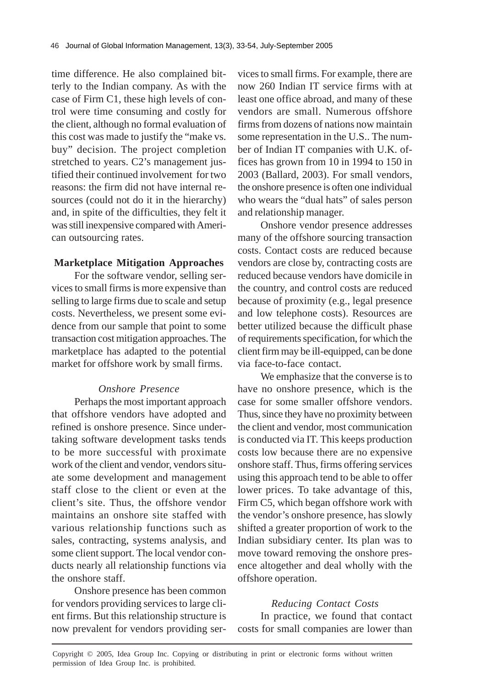time difference. He also complained bitterly to the Indian company. As with the case of Firm C1, these high levels of control were time consuming and costly for the client, although no formal evaluation of this cost was made to justify the "make vs. buy" decision. The project completion stretched to years. C2's management justified their continued involvement for two reasons: the firm did not have internal resources (could not do it in the hierarchy) and, in spite of the difficulties, they felt it was still inexpensive compared with American outsourcing rates.

# **Marketplace Mitigation Approaches**

For the software vendor, selling services to small firms is more expensive than selling to large firms due to scale and setup costs. Nevertheless, we present some evidence from our sample that point to some transaction cost mitigation approaches. The marketplace has adapted to the potential market for offshore work by small firms.

#### *Onshore Presence*

Perhaps the most important approach that offshore vendors have adopted and refined is onshore presence. Since undertaking software development tasks tends to be more successful with proximate work of the client and vendor, vendors situate some development and management staff close to the client or even at the client's site. Thus, the offshore vendor maintains an onshore site staffed with various relationship functions such as sales, contracting, systems analysis, and some client support. The local vendor conducts nearly all relationship functions via the onshore staff.

Onshore presence has been common for vendors providing services to large client firms. But this relationship structure is now prevalent for vendors providing services to small firms. For example, there are now 260 Indian IT service firms with at least one office abroad, and many of these vendors are small. Numerous offshore firms from dozens of nations now maintain some representation in the U.S.. The number of Indian IT companies with U.K. offices has grown from 10 in 1994 to 150 in 2003 (Ballard, 2003). For small vendors, the onshore presence is often one individual who wears the "dual hats" of sales person and relationship manager.

Onshore vendor presence addresses many of the offshore sourcing transaction costs. Contact costs are reduced because vendors are close by, contracting costs are reduced because vendors have domicile in the country, and control costs are reduced because of proximity (e.g., legal presence and low telephone costs). Resources are better utilized because the difficult phase of requirements specification, for which the client firm may be ill-equipped, can be done via face-to-face contact.

We emphasize that the converse is to have no onshore presence, which is the case for some smaller offshore vendors. Thus, since they have no proximity between the client and vendor, most communication is conducted via IT. This keeps production costs low because there are no expensive onshore staff. Thus, firms offering services using this approach tend to be able to offer lower prices. To take advantage of this, Firm C5, which began offshore work with the vendor's onshore presence, has slowly shifted a greater proportion of work to the Indian subsidiary center. Its plan was to move toward removing the onshore presence altogether and deal wholly with the offshore operation.

#### *Reducing Contact Costs*

In practice, we found that contact costs for small companies are lower than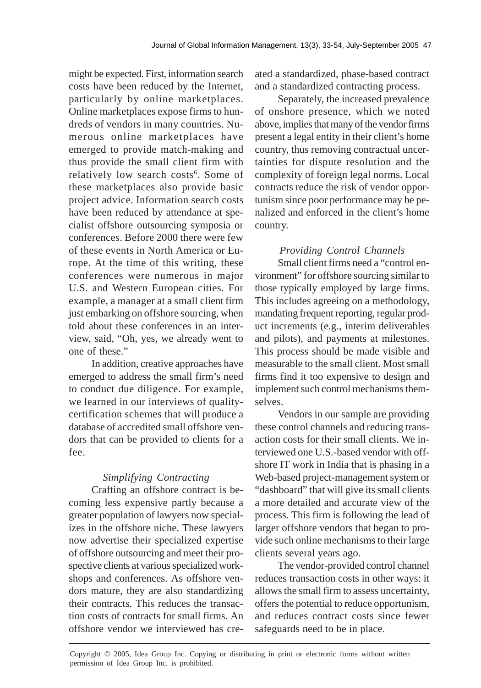might be expected. First, information search costs have been reduced by the Internet, particularly by online marketplaces. Online marketplaces expose firms to hundreds of vendors in many countries. Numerous online marketplaces have emerged to provide match-making and thus provide the small client firm with relatively low search costs<sup>6</sup>. Some of these marketplaces also provide basic project advice. Information search costs have been reduced by attendance at specialist offshore outsourcing symposia or conferences. Before 2000 there were few of these events in North America or Europe. At the time of this writing, these conferences were numerous in major U.S. and Western European cities. For example, a manager at a small client firm just embarking on offshore sourcing, when told about these conferences in an interview, said, "Oh, yes, we already went to one of these."

In addition, creative approaches have emerged to address the small firm's need to conduct due diligence. For example, we learned in our interviews of qualitycertification schemes that will produce a database of accredited small offshore vendors that can be provided to clients for a fee.

# *Simplifying Contracting*

Crafting an offshore contract is becoming less expensive partly because a greater population of lawyers now specializes in the offshore niche. These lawyers now advertise their specialized expertise of offshore outsourcing and meet their prospective clients at various specialized workshops and conferences. As offshore vendors mature, they are also standardizing their contracts. This reduces the transaction costs of contracts for small firms. An offshore vendor we interviewed has created a standardized, phase-based contract and a standardized contracting process.

Separately, the increased prevalence of onshore presence, which we noted above, implies that many of the vendor firms present a legal entity in their client's home country, thus removing contractual uncertainties for dispute resolution and the complexity of foreign legal norms. Local contracts reduce the risk of vendor opportunism since poor performance may be penalized and enforced in the client's home country.

# *Providing Control Channels*

Small client firms need a "control environment" for offshore sourcing similar to those typically employed by large firms. This includes agreeing on a methodology, mandating frequent reporting, regular product increments (e.g., interim deliverables and pilots), and payments at milestones. This process should be made visible and measurable to the small client. Most small firms find it too expensive to design and implement such control mechanisms themselves.

Vendors in our sample are providing these control channels and reducing transaction costs for their small clients. We interviewed one U.S.-based vendor with offshore IT work in India that is phasing in a Web-based project-management system or "dashboard" that will give its small clients a more detailed and accurate view of the process. This firm is following the lead of larger offshore vendors that began to provide such online mechanisms to their large clients several years ago.

The vendor-provided control channel reduces transaction costs in other ways: it allows the small firm to assess uncertainty, offers the potential to reduce opportunism, and reduces contract costs since fewer safeguards need to be in place.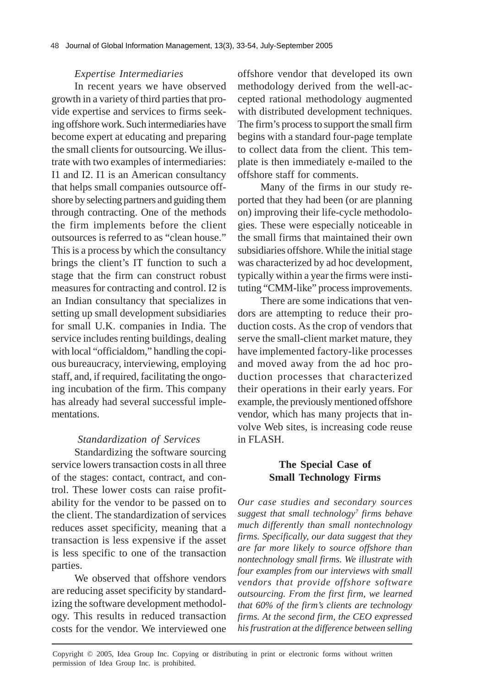#### *Expertise Intermediaries*

In recent years we have observed growth in a variety of third parties that provide expertise and services to firms seeking offshore work. Such intermediaries have become expert at educating and preparing the small clients for outsourcing. We illustrate with two examples of intermediaries: I1 and I2. I1 is an American consultancy that helps small companies outsource offshore by selecting partners and guiding them through contracting. One of the methods the firm implements before the client outsources is referred to as "clean house." This is a process by which the consultancy brings the client's IT function to such a stage that the firm can construct robust measures for contracting and control. I2 is an Indian consultancy that specializes in setting up small development subsidiaries for small U.K. companies in India. The service includes renting buildings, dealing with local "officialdom," handling the copious bureaucracy, interviewing, employing staff, and, if required, facilitating the ongoing incubation of the firm. This company has already had several successful implementations.

#### *Standardization of Services*

Standardizing the software sourcing service lowers transaction costs in all three of the stages: contact, contract, and control. These lower costs can raise profitability for the vendor to be passed on to the client. The standardization of services reduces asset specificity, meaning that a transaction is less expensive if the asset is less specific to one of the transaction parties.

We observed that offshore vendors are reducing asset specificity by standardizing the software development methodology. This results in reduced transaction costs for the vendor. We interviewed one offshore vendor that developed its own methodology derived from the well-accepted rational methodology augmented with distributed development techniques. The firm's process to support the small firm begins with a standard four-page template to collect data from the client. This template is then immediately e-mailed to the offshore staff for comments.

Many of the firms in our study reported that they had been (or are planning on) improving their life-cycle methodologies. These were especially noticeable in the small firms that maintained their own subsidiaries offshore. While the initial stage was characterized by ad hoc development, typically within a year the firms were instituting "CMM-like" process improvements.

There are some indications that vendors are attempting to reduce their production costs. As the crop of vendors that serve the small-client market mature, they have implemented factory-like processes and moved away from the ad hoc production processes that characterized their operations in their early years. For example, the previously mentioned offshore vendor, which has many projects that involve Web sites, is increasing code reuse in FLASH.

# **The Special Case of Small Technology Firms**

*Our case studies and secondary sources suggest that small technology7 firms behave much differently than small nontechnology firms. Specifically, our data suggest that they are far more likely to source offshore than nontechnology small firms. We illustrate with four examples from our interviews with small vendors that provide offshore software outsourcing. From the first firm, we learned that 60% of the firm's clients are technology firms. At the second firm, the CEO expressed his frustration at the difference between selling*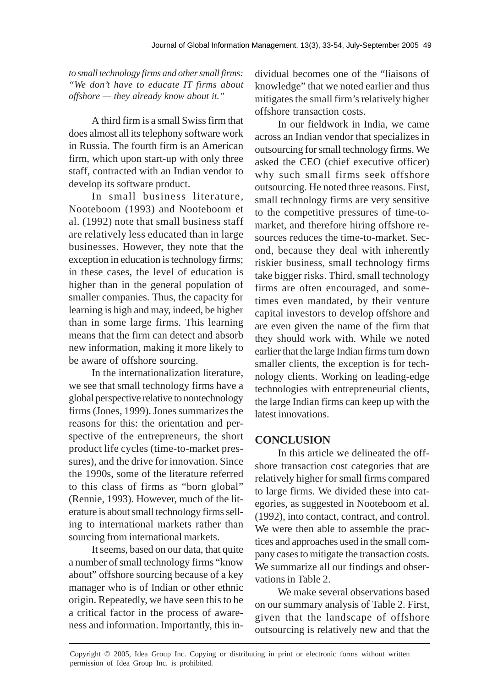*to small technology firms and other small firms: "We don't have to educate IT firms about offshore — they already know about it."*

A third firm is a small Swiss firm that does almost all its telephony software work in Russia. The fourth firm is an American firm, which upon start-up with only three staff, contracted with an Indian vendor to develop its software product.

In small business literature, Nooteboom (1993) and Nooteboom et al. (1992) note that small business staff are relatively less educated than in large businesses. However, they note that the exception in education is technology firms; in these cases, the level of education is higher than in the general population of smaller companies. Thus, the capacity for learning is high and may, indeed, be higher than in some large firms. This learning means that the firm can detect and absorb new information, making it more likely to be aware of offshore sourcing.

In the internationalization literature, we see that small technology firms have a global perspective relative to nontechnology firms (Jones, 1999). Jones summarizes the reasons for this: the orientation and perspective of the entrepreneurs, the short product life cycles (time-to-market pressures), and the drive for innovation. Since the 1990s, some of the literature referred to this class of firms as "born global" (Rennie, 1993). However, much of the literature is about small technology firms selling to international markets rather than sourcing from international markets.

It seems, based on our data, that quite a number of small technology firms "know about" offshore sourcing because of a key manager who is of Indian or other ethnic origin. Repeatedly, we have seen this to be a critical factor in the process of awareness and information. Importantly, this individual becomes one of the "liaisons of knowledge" that we noted earlier and thus mitigates the small firm's relatively higher offshore transaction costs.

In our fieldwork in India, we came across an Indian vendor that specializes in outsourcing for small technology firms. We asked the CEO (chief executive officer) why such small firms seek offshore outsourcing. He noted three reasons. First, small technology firms are very sensitive to the competitive pressures of time-tomarket, and therefore hiring offshore resources reduces the time-to-market. Second, because they deal with inherently riskier business, small technology firms take bigger risks. Third, small technology firms are often encouraged, and sometimes even mandated, by their venture capital investors to develop offshore and are even given the name of the firm that they should work with. While we noted earlier that the large Indian firms turn down smaller clients, the exception is for technology clients. Working on leading-edge technologies with entrepreneurial clients, the large Indian firms can keep up with the latest innovations.

# **CONCLUSION**

In this article we delineated the offshore transaction cost categories that are relatively higher for small firms compared to large firms. We divided these into categories, as suggested in Nooteboom et al. (1992), into contact, contract, and control. We were then able to assemble the practices and approaches used in the small company cases to mitigate the transaction costs. We summarize all our findings and observations in Table 2.

We make several observations based on our summary analysis of Table 2. First, given that the landscape of offshore outsourcing is relatively new and that the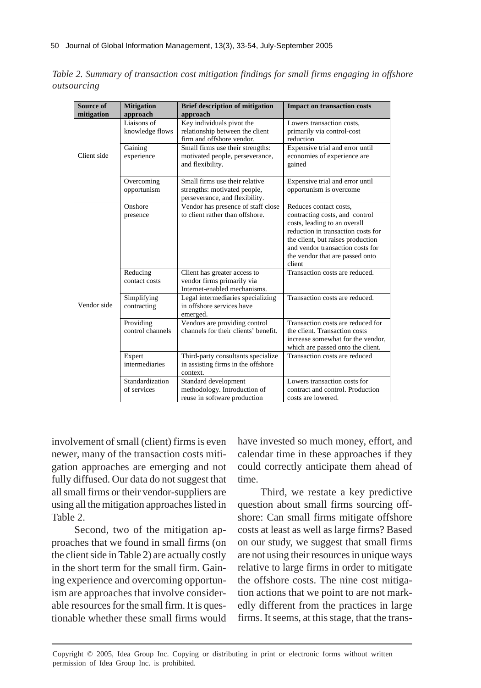| Source of   | <b>Mitigation</b> | <b>Brief description of mitigation</b>    | <b>Impact on transaction costs</b> |
|-------------|-------------------|-------------------------------------------|------------------------------------|
| mitigation  | approach          | approach                                  |                                    |
|             | Liaisons of       | Key individuals pivot the                 | Lowers transaction costs,          |
|             | knowledge flows   | relationship between the client           | primarily via control-cost         |
|             |                   | firm and offshore vendor.                 | reduction                          |
|             | Gaining           | Small firms use their strengths:          | Expensive trial and error until    |
| Client side | experience        | motivated people, perseverance,           | economies of experience are        |
|             |                   | and flexibility.                          | gained                             |
|             | Overcoming        | Small firms use their relative            | Expensive trial and error until    |
|             | opportunism       | strengths: motivated people,              | opportunism is overcome            |
|             |                   | perseverance, and flexibility.            |                                    |
|             | Onshore           | Vendor has presence of staff close        | Reduces contact costs,             |
|             | presence          | to client rather than offshore.           | contracting costs, and control     |
|             |                   |                                           | costs, leading to an overall       |
|             |                   |                                           | reduction in transaction costs for |
|             |                   |                                           | the client, but raises production  |
|             |                   |                                           | and vendor transaction costs for   |
|             |                   |                                           | the vendor that are passed onto    |
|             |                   |                                           | client                             |
|             | Reducing          | Client has greater access to              | Transaction costs are reduced.     |
|             | contact costs     | vendor firms primarily via                |                                    |
|             |                   | Internet-enabled mechanisms.              |                                    |
|             | Simplifying       | Legal intermediaries specializing         | Transaction costs are reduced.     |
| Vendor side | contracting       | in offshore services have                 |                                    |
|             | Providing         | emerged.<br>Vendors are providing control | Transaction costs are reduced for  |
|             | control channels  | channels for their clients' benefit.      | the client. Transaction costs      |
|             |                   |                                           | increase somewhat for the vendor,  |
|             |                   |                                           | which are passed onto the client.  |
|             | Expert            | Third-party consultants specialize        | Transaction costs are reduced      |
|             | intermediaries    | in assisting firms in the offshore        |                                    |
|             |                   | context.                                  |                                    |
|             | Standardization   | Standard development                      | Lowers transaction costs for       |
|             | of services       | methodology. Introduction of              | contract and control. Production   |
|             |                   | reuse in software production              | costs are lowered.                 |

*Table 2. Summary of transaction cost mitigation findings for small firms engaging in offshore outsourcing*

involvement of small (client) firms is even newer, many of the transaction costs mitigation approaches are emerging and not fully diffused. Our data do not suggest that all small firms or their vendor-suppliers are using all the mitigation approaches listed in Table 2.

Second, two of the mitigation approaches that we found in small firms (on the client side in Table 2) are actually costly in the short term for the small firm. Gaining experience and overcoming opportunism are approaches that involve considerable resources for the small firm. It is questionable whether these small firms would have invested so much money, effort, and calendar time in these approaches if they could correctly anticipate them ahead of time.

Third, we restate a key predictive question about small firms sourcing offshore: Can small firms mitigate offshore costs at least as well as large firms? Based on our study, we suggest that small firms are not using their resources in unique ways relative to large firms in order to mitigate the offshore costs. The nine cost mitigation actions that we point to are not markedly different from the practices in large firms. It seems, at this stage, that the trans-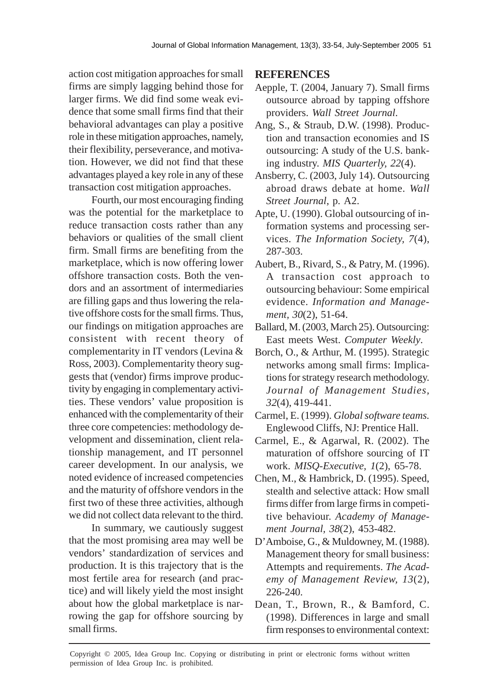action cost mitigation approaches for small firms are simply lagging behind those for larger firms. We did find some weak evidence that some small firms find that their behavioral advantages can play a positive role in these mitigation approaches, namely, their flexibility, perseverance, and motivation. However, we did not find that these advantages played a key role in any of these transaction cost mitigation approaches.

Fourth, our most encouraging finding was the potential for the marketplace to reduce transaction costs rather than any behaviors or qualities of the small client firm. Small firms are benefiting from the marketplace, which is now offering lower offshore transaction costs. Both the vendors and an assortment of intermediaries are filling gaps and thus lowering the relative offshore costs for the small firms. Thus, our findings on mitigation approaches are consistent with recent theory of complementarity in IT vendors (Levina & Ross, 2003). Complementarity theory suggests that (vendor) firms improve productivity by engaging in complementary activities. These vendors' value proposition is enhanced with the complementarity of their three core competencies: methodology development and dissemination, client relationship management, and IT personnel career development. In our analysis, we noted evidence of increased competencies and the maturity of offshore vendors in the first two of these three activities, although we did not collect data relevant to the third.

In summary, we cautiously suggest that the most promising area may well be vendors' standardization of services and production. It is this trajectory that is the most fertile area for research (and practice) and will likely yield the most insight about how the global marketplace is narrowing the gap for offshore sourcing by small firms.

### **REFERENCES**

- Aepple, T. (2004, January 7). Small firms outsource abroad by tapping offshore providers. *Wall Street Journal*.
- Ang, S., & Straub, D.W. (1998). Production and transaction economies and IS outsourcing: A study of the U.S. banking industry. *MIS Quarterly, 22*(4).
- Ansberry, C. (2003, July 14). Outsourcing abroad draws debate at home. *Wall Street Journal*, p. A2.
- Apte, U. (1990). Global outsourcing of information systems and processing services. *The Information Society, 7*(4), 287-303.
- Aubert, B., Rivard, S., & Patry, M. (1996). A transaction cost approach to outsourcing behaviour: Some empirical evidence. *Information and Management, 30*(2), 51-64.
- Ballard, M. (2003, March 25). Outsourcing: East meets West. *Computer Weekly*.
- Borch, O., & Arthur, M. (1995). Strategic networks among small firms: Implications for strategy research methodology. *Journal of Management Studies, 32*(4), 419-441.
- Carmel, E. (1999). *Global software teams.* Englewood Cliffs, NJ: Prentice Hall.
- Carmel, E., & Agarwal, R. (2002). The maturation of offshore sourcing of IT work. *MISQ-Executive, 1*(2), 65-78.
- Chen, M., & Hambrick, D. (1995). Speed, stealth and selective attack: How small firms differ from large firms in competitive behaviour. *Academy of Management Journal, 38*(2), 453-482.
- D'Amboise, G., & Muldowney, M. (1988). Management theory for small business: Attempts and requirements. *The Academy of Management Review, 13*(2), 226-240.
- Dean, T., Brown, R., & Bamford, C. (1998). Differences in large and small firm responses to environmental context: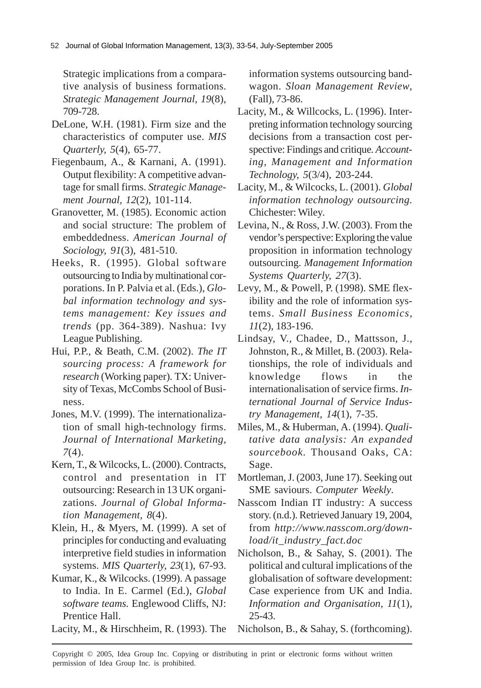Strategic implications from a comparative analysis of business formations. *Strategic Management Journal, 19*(8), 709-728.

- DeLone, W.H. (1981). Firm size and the characteristics of computer use. *MIS Quarterly, 5*(4), 65-77.
- Fiegenbaum, A., & Karnani, A. (1991). Output flexibility: A competitive advantage for small firms. *Strategic Management Journal, 12*(2), 101-114.
- Granovetter, M. (1985). Economic action and social structure: The problem of embeddedness. *American Journal of Sociology, 91*(3), 481-510.
- Heeks, R. (1995). Global software outsourcing to India by multinational corporations. In P. Palvia et al. (Eds.), *Global information technology and systems management: Key issues and trends* (pp. 364-389). Nashua: Ivy League Publishing.
- Hui, P.P., & Beath, C.M. (2002). *The IT sourcing process: A framework for research* (Working paper)*.* TX: University of Texas, McCombs School of Business.
- Jones, M.V. (1999). The internationalization of small high-technology firms. *Journal of International Marketing, 7*(4).
- Kern, T., & Wilcocks, L. (2000). Contracts, control and presentation in IT outsourcing: Research in 13 UK organizations. *Journal of Global Information Management, 8*(4).
- Klein, H., & Myers, M. (1999). A set of principles for conducting and evaluating interpretive field studies in information systems. *MIS Quarterly, 23*(1), 67-93.
- Kumar, K., & Wilcocks. (1999). A passage to India. In E. Carmel (Ed.), *Global software teams.* Englewood Cliffs, NJ: Prentice Hall.
- Lacity, M., & Hirschheim, R. (1993). The

information systems outsourcing bandwagon. *Sloan Management Review*, (Fall), 73-86.

- Lacity, M., & Willcocks, L. (1996). Interpreting information technology sourcing decisions from a transaction cost perspective: Findings and critique*. Accounting, Management and Information Technology, 5*(3/4), 203-244.
- Lacity, M., & Wilcocks, L. (2001). *Global information technology outsourcing.* Chichester: Wiley.
- Levina, N., & Ross, J.W. (2003). From the vendor's perspective: Exploring the value proposition in information technology outsourcing. *Management Information Systems Quarterly, 27*(3).
- Levy, M., & Powell, P. (1998). SME flexibility and the role of information systems. *Small Business Economics, 11*(2), 183-196.
- Lindsay, V., Chadee, D., Mattsson, J., Johnston, R., & Millet, B. (2003). Relationships, the role of individuals and knowledge flows in the internationalisation of service firms. *International Journal of Service Industry Management, 14*(1), 7-35.
- Miles, M., & Huberman, A. (1994). *Qualitative data analysis: An expanded sourcebook.* Thousand Oaks, CA: Sage.
- Mortleman, J. (2003, June 17). Seeking out SME saviours. *Computer Weekly*.
- Nasscom Indian IT industry: A success story. (n.d.). Retrieved January 19, 2004, from *http://www.nasscom.org/download/it\_industry\_fact.doc*
- Nicholson, B., & Sahay, S. (2001). The political and cultural implications of the globalisation of software development: Case experience from UK and India. *Information and Organisation, 11*(1), 25-43.

Nicholson, B., & Sahay, S. (forthcoming).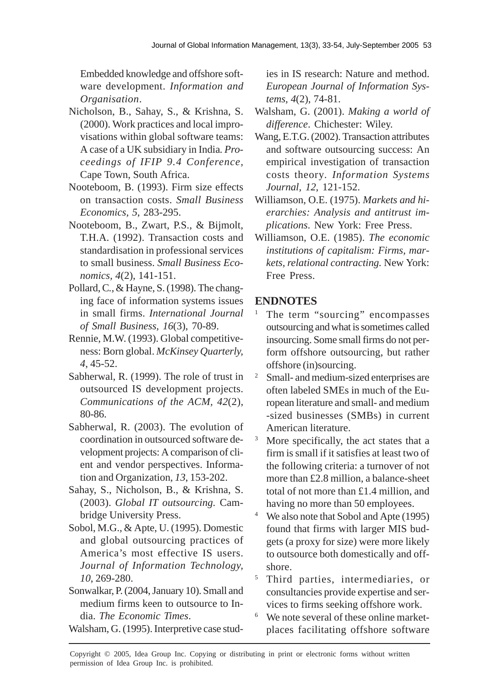Embedded knowledge and offshore software development. *Information and Organisation*.

- Nicholson, B., Sahay, S., & Krishna, S. (2000). Work practices and local improvisations within global software teams: A case of a UK subsidiary in India*. Proceedings of IFIP 9.4 Conference,* Cape Town, South Africa.
- Nooteboom, B. (1993). Firm size effects on transaction costs. *Small Business Economics, 5*, 283-295.
- Nooteboom, B., Zwart, P.S., & Bijmolt, T.H.A. (1992). Transaction costs and standardisation in professional services to small business. *Small Business Economics, 4*(2), 141-151.
- Pollard, C*.*,& Hayne, S. (1998). The changing face of information systems issues in small firms. *International Journal of Small Business, 16*(3), 70-89.
- Rennie, M.W. (1993). Global competitiveness: Born global. *McKinsey Quarterly, 4*, 45-52.
- Sabherwal, R. (1999). The role of trust in outsourced IS development projects. *Communications of the ACM, 42*(2), 80-86.
- Sabherwal, R. (2003). The evolution of coordination in outsourced software development projects: A comparison of client and vendor perspectives. Information and Organization*, 13*, 153-202.
- Sahay, S., Nicholson, B., & Krishna, S. (2003). *Global IT outsourcing.* Cambridge University Press.
- Sobol, M.G., & Apte, U. (1995). Domestic and global outsourcing practices of America's most effective IS users. *Journal of Information Technology, 10*, 269-280.
- Sonwalkar, P. (2004, January 10). Small and medium firms keen to outsource to India. *The Economic Times*.

Walsham, G. (1995). Interpretive case stud-

ies in IS research: Nature and method. *European Journal of Information Systems, 4*(2), 74-81.

- Walsham, G. (2001). *Making a world of difference*. Chichester: Wiley.
- Wang, E.T.G. (2002). Transaction attributes and software outsourcing success: An empirical investigation of transaction costs theory*. Information Systems Journal, 12*, 121-152.
- Williamson, O.E. (1975). *Markets and hierarchies: Analysis and antitrust implications*. New York: Free Press.
- Williamson, O.E. (1985). *The economic institutions of capitalism: Firms, markets, relational contracting.* New York: Free Press.

# **ENDNOTES**

- The term "sourcing" encompasses outsourcing and what is sometimes called insourcing. Some small firms do not perform offshore outsourcing, but rather offshore (in)sourcing.
- <sup>2</sup> Small- and medium-sized enterprises are often labeled SMEs in much of the European literature and small- and medium -sized businesses (SMBs) in current American literature.
- <sup>3</sup> More specifically, the act states that a firm is small if it satisfies at least two of the following criteria: a turnover of not more than £2.8 million, a balance-sheet total of not more than £1.4 million, and having no more than 50 employees.
- <sup>4</sup> We also note that Sobol and Apte (1995) found that firms with larger MIS budgets (a proxy for size) were more likely to outsource both domestically and offshore.
- <sup>5</sup> Third parties, intermediaries, or consultancies provide expertise and services to firms seeking offshore work.
- <sup>6</sup> We note several of these online marketplaces facilitating offshore software